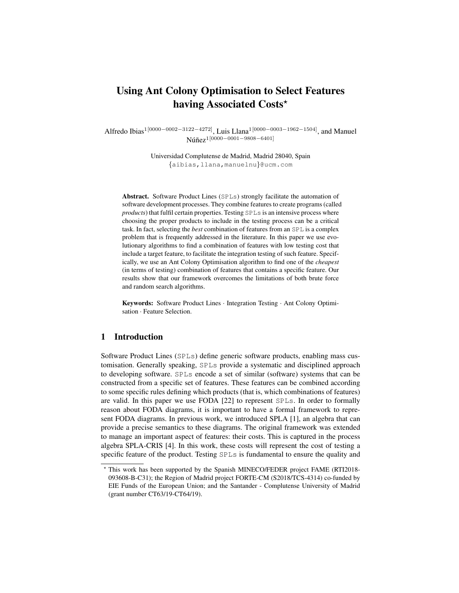# Using Ant Colony Optimisation to Select Features having Associated Costs<sup>\*</sup>

Alfredo Ibias1[0000−0002−3122−4272], Luis Llana1[0000−0003−1962−1504], and Manuel  $N$ úñez $1^{[0000-0001-9808-6401]}$ 

> Universidad Complutense de Madrid, Madrid 28040, Spain {aibias,llana,manuelnu}@ucm.com

Abstract. Software Product Lines (SPLs) strongly facilitate the automation of software development processes. They combine features to create programs (called *products*) that fulfil certain properties. Testing SPLs is an intensive process where choosing the proper products to include in the testing process can be a critical task. In fact, selecting the *best* combination of features from an SPL is a complex problem that is frequently addressed in the literature. In this paper we use evolutionary algorithms to find a combination of features with low testing cost that include a target feature, to facilitate the integration testing of such feature. Specifically, we use an Ant Colony Optimisation algorithm to find one of the *cheapest* (in terms of testing) combination of features that contains a specific feature. Our results show that our framework overcomes the limitations of both brute force and random search algorithms.

Keywords: Software Product Lines · Integration Testing · Ant Colony Optimisation · Feature Selection.

### 1 Introduction

Software Product Lines (SPLs) define generic software products, enabling mass customisation. Generally speaking, SPLs provide a systematic and disciplined approach to developing software. SPLs encode a set of similar (software) systems that can be constructed from a specific set of features. These features can be combined according to some specific rules defining which products (that is, which combinations of features) are valid. In this paper we use FODA [22] to represent SPLs. In order to formally reason about FODA diagrams, it is important to have a formal framework to represent FODA diagrams. In previous work, we introduced SPLA [1], an algebra that can provide a precise semantics to these diagrams. The original framework was extended to manage an important aspect of features: their costs. This is captured in the process algebra SPLA-CRIS [4]. In this work, these costs will represent the cost of testing a specific feature of the product. Testing SPLs is fundamental to ensure the quality and

<sup>?</sup> This work has been supported by the Spanish MINECO/FEDER project FAME (RTI2018- 093608-B-C31); the Region of Madrid project FORTE-CM (S2018/TCS-4314) co-funded by EIE Funds of the European Union; and the Santander - Complutense University of Madrid (grant number CT63/19-CT64/19).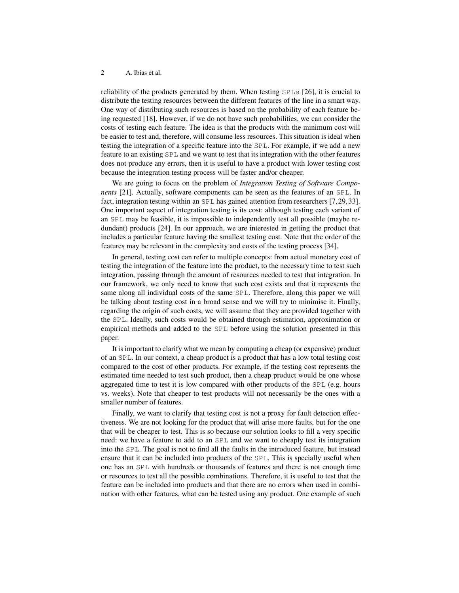reliability of the products generated by them. When testing SPLs [26], it is crucial to distribute the testing resources between the different features of the line in a smart way. One way of distributing such resources is based on the probability of each feature being requested [18]. However, if we do not have such probabilities, we can consider the costs of testing each feature. The idea is that the products with the minimum cost will be easier to test and, therefore, will consume less resources. This situation is ideal when testing the integration of a specific feature into the SPL. For example, if we add a new feature to an existing SPL and we want to test that its integration with the other features does not produce any errors, then it is useful to have a product with lower testing cost because the integration testing process will be faster and/or cheaper.

We are going to focus on the problem of *Integration Testing of Software Components* [21]. Actually, software components can be seen as the features of an SPL. In fact, integration testing within an SPL has gained attention from researchers [7, 29, 33]. One important aspect of integration testing is its cost: although testing each variant of an SPL may be feasible, it is impossible to independently test all possible (maybe redundant) products [24]. In our approach, we are interested in getting the product that includes a particular feature having the smallest testing cost. Note that the order of the features may be relevant in the complexity and costs of the testing process [34].

In general, testing cost can refer to multiple concepts: from actual monetary cost of testing the integration of the feature into the product, to the necessary time to test such integration, passing through the amount of resources needed to test that integration. In our framework, we only need to know that such cost exists and that it represents the same along all individual costs of the same SPL. Therefore, along this paper we will be talking about testing cost in a broad sense and we will try to minimise it. Finally, regarding the origin of such costs, we will assume that they are provided together with the SPL. Ideally, such costs would be obtained through estimation, approximation or empirical methods and added to the SPL before using the solution presented in this paper.

It is important to clarify what we mean by computing a cheap (or expensive) product of an SPL. In our context, a cheap product is a product that has a low total testing cost compared to the cost of other products. For example, if the testing cost represents the estimated time needed to test such product, then a cheap product would be one whose aggregated time to test it is low compared with other products of the SPL (e.g. hours vs. weeks). Note that cheaper to test products will not necessarily be the ones with a smaller number of features.

Finally, we want to clarify that testing cost is not a proxy for fault detection effectiveness. We are not looking for the product that will arise more faults, but for the one that will be cheaper to test. This is so because our solution looks to fill a very specific need: we have a feature to add to an SPL and we want to cheaply test its integration into the SPL. The goal is not to find all the faults in the introduced feature, but instead ensure that it can be included into products of the SPL. This is specially useful when one has an SPL with hundreds or thousands of features and there is not enough time or resources to test all the possible combinations. Therefore, it is useful to test that the feature can be included into products and that there are no errors when used in combination with other features, what can be tested using any product. One example of such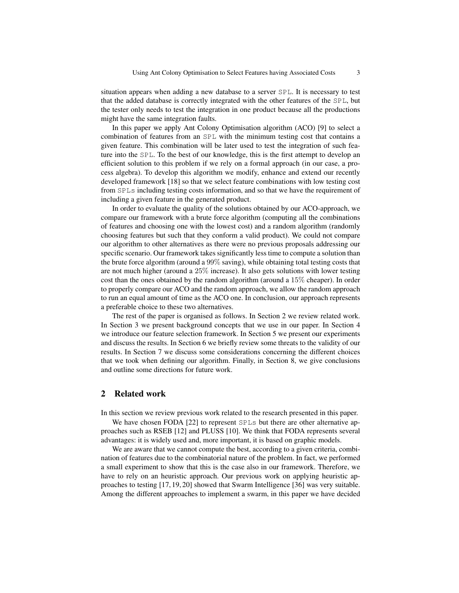situation appears when adding a new database to a server SPL. It is necessary to test that the added database is correctly integrated with the other features of the SPL, but the tester only needs to test the integration in one product because all the productions might have the same integration faults.

In this paper we apply Ant Colony Optimisation algorithm (ACO) [9] to select a combination of features from an SPL with the minimum testing cost that contains a given feature. This combination will be later used to test the integration of such feature into the SPL. To the best of our knowledge, this is the first attempt to develop an efficient solution to this problem if we rely on a formal approach (in our case, a process algebra). To develop this algorithm we modify, enhance and extend our recently developed framework [18] so that we select feature combinations with low testing cost from SPLs including testing costs information, and so that we have the requirement of including a given feature in the generated product.

In order to evaluate the quality of the solutions obtained by our ACO-approach, we compare our framework with a brute force algorithm (computing all the combinations of features and choosing one with the lowest cost) and a random algorithm (randomly choosing features but such that they conform a valid product). We could not compare our algorithm to other alternatives as there were no previous proposals addressing our specific scenario. Our framework takes significantly less time to compute a solution than the brute force algorithm (around a 99% saving), while obtaining total testing costs that are not much higher (around a 25% increase). It also gets solutions with lower testing cost than the ones obtained by the random algorithm (around a 15% cheaper). In order to properly compare our ACO and the random approach, we allow the random approach to run an equal amount of time as the ACO one. In conclusion, our approach represents a preferable choice to these two alternatives.

The rest of the paper is organised as follows. In Section 2 we review related work. In Section 3 we present background concepts that we use in our paper. In Section 4 we introduce our feature selection framework. In Section 5 we present our experiments and discuss the results. In Section 6 we briefly review some threats to the validity of our results. In Section 7 we discuss some considerations concerning the different choices that we took when defining our algorithm. Finally, in Section 8, we give conclusions and outline some directions for future work.

### 2 Related work

In this section we review previous work related to the research presented in this paper.

We have chosen FODA [22] to represent SPLs but there are other alternative approaches such as RSEB [12] and PLUSS [10]. We think that FODA represents several advantages: it is widely used and, more important, it is based on graphic models.

We are aware that we cannot compute the best, according to a given criteria, combination of features due to the combinatorial nature of the problem. In fact, we performed a small experiment to show that this is the case also in our framework. Therefore, we have to rely on an heuristic approach. Our previous work on applying heuristic approaches to testing [17, 19, 20] showed that Swarm Intelligence [36] was very suitable. Among the different approaches to implement a swarm, in this paper we have decided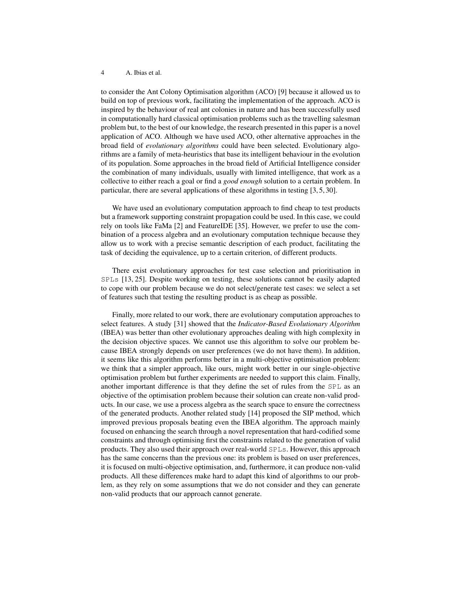to consider the Ant Colony Optimisation algorithm (ACO) [9] because it allowed us to build on top of previous work, facilitating the implementation of the approach. ACO is inspired by the behaviour of real ant colonies in nature and has been successfully used in computationally hard classical optimisation problems such as the travelling salesman problem but, to the best of our knowledge, the research presented in this paper is a novel application of ACO. Although we have used ACO, other alternative approaches in the broad field of *evolutionary algorithms* could have been selected. Evolutionary algorithms are a family of meta-heuristics that base its intelligent behaviour in the evolution of its population. Some approaches in the broad field of Artificial Intelligence consider the combination of many individuals, usually with limited intelligence, that work as a collective to either reach a goal or find a *good enough* solution to a certain problem. In particular, there are several applications of these algorithms in testing [3, 5, 30].

We have used an evolutionary computation approach to find cheap to test products but a framework supporting constraint propagation could be used. In this case, we could rely on tools like FaMa [2] and FeatureIDE [35]. However, we prefer to use the combination of a process algebra and an evolutionary computation technique because they allow us to work with a precise semantic description of each product, facilitating the task of deciding the equivalence, up to a certain criterion, of different products.

There exist evolutionary approaches for test case selection and prioritisation in SPLs [13, 25]. Despite working on testing, these solutions cannot be easily adapted to cope with our problem because we do not select/generate test cases: we select a set of features such that testing the resulting product is as cheap as possible.

Finally, more related to our work, there are evolutionary computation approaches to select features. A study [31] showed that the *Indicator-Based Evolutionary Algorithm* (IBEA) was better than other evolutionary approaches dealing with high complexity in the decision objective spaces. We cannot use this algorithm to solve our problem because IBEA strongly depends on user preferences (we do not have them). In addition, it seems like this algorithm performs better in a multi-objective optimisation problem: we think that a simpler approach, like ours, might work better in our single-objective optimisation problem but further experiments are needed to support this claim. Finally, another important difference is that they define the set of rules from the SPL as an objective of the optimisation problem because their solution can create non-valid products. In our case, we use a process algebra as the search space to ensure the correctness of the generated products. Another related study [14] proposed the SIP method, which improved previous proposals beating even the IBEA algorithm. The approach mainly focused on enhancing the search through a novel representation that hard-codified some constraints and through optimising first the constraints related to the generation of valid products. They also used their approach over real-world SPLs. However, this approach has the same concerns than the previous one: its problem is based on user preferences, it is focused on multi-objective optimisation, and, furthermore, it can produce non-valid products. All these differences make hard to adapt this kind of algorithms to our problem, as they rely on some assumptions that we do not consider and they can generate non-valid products that our approach cannot generate.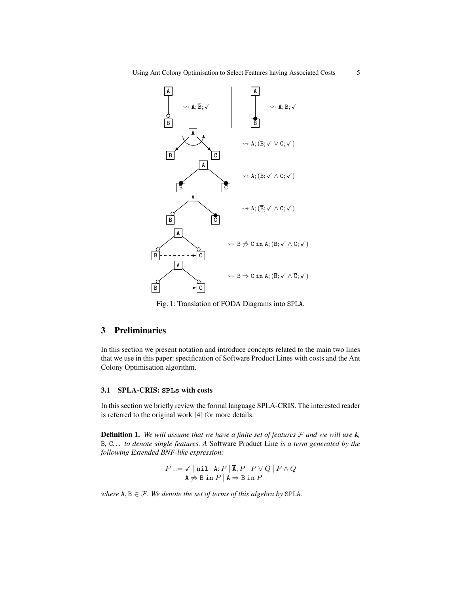

Fig. 1: Translation of FODA Diagrams into SPLA.

## 3 Preliminaries

In this section we present notation and introduce concepts related to the main two lines that we use in this paper: specification of Software Product Lines with costs and the Ant Colony Optimisation algorithm.

#### 3.1 SPLA-CRIS: **SPLs** with costs

In this section we briefly review the formal language SPLA-CRIS. The interested reader is referred to the original work [4] for more details.

**Definition 1.** We will assume that we have a finite set of features  $F$  and we will use A, B*,* C*. . . to denote single features. A* Software Product Line *is a term generated by the following Extended BNF-like expression:*

$$
P::=\surd\;|\operatorname{nil}\;|\; \mathtt{A};P\;|\;\overline{\mathtt{A}};P\;|\;P\lor Q\;|\;P\land Q\\ \mathtt{A}\not\Rightarrow\mathtt{B}\:\operatorname{in}\;P\;|\;\mathtt{A}\Rightarrow\mathtt{B}\:\operatorname{in}\;P
$$

*where*  $A, B \in \mathcal{F}$ *. We denote the set of terms of this algebra by SPLA.*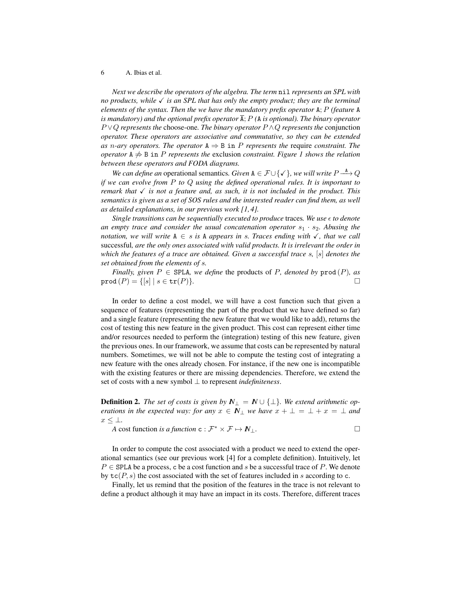*Next we describe the operators of the algebra. The term* nil *represents an SPL with no products, while*  $\checkmark$  *is an SPL that has only the empty product; they are the terminal elements of the syntax. Then the we have the mandatory prefix operator* A; P *(feature* A *is mandatory) and the optional prefix operator* A; P *(*A *is optional). The binary operator* P ∨Q *represents the* choose-one*. The binary operator* P ∧Q *represents the* conjunction *operator. These operators are associative and commutative, so they can be extended* as *n*-ary operators. The operator  $A \Rightarrow B$  in P represents the require constraint. The *operator*  $A \neq B$  in P *represents the* exclusion *constraint. Figure 1 shows the relation between these operators and FODA diagrams.*

*We can define an operational semantics. Given*  $A \in \mathcal{F} \cup \{\checkmark\}$ *, we will write*  $P \stackrel{A}{\longrightarrow} Q$ *if we can evolve from* P *to* Q *using the defined operational rules. It is important to remark that*  $\checkmark$  *is not a feature and, as such, it is not included in the product. This semantics is given as a set of SOS rules and the interested reader can find them, as well as detailed explanations, in our previous work [1, 4].*

*Single transitions can be sequentially executed to produce* traces*. We use to denote an empty trace and consider the usual concatenation operator*  $s_1 \cdot s_2$ *. Abusing the notation, we will write*  $A \in S$  *is* A *appears in s. Traces ending with*  $\checkmark$ , *that we call* successful*, are the only ones associated with valid products. It is irrelevant the order in which the features of a trace are obtained. Given a successful trace* s*,* [s] *denotes the set obtained from the elements of* s*.*

*Finally, given*  $P \in$  SPLA*, we define* the products of  $P$ *, denoted by*  $\text{prod}(P)$ *, as*  $\text{prod}(P) = \{ [s] \mid s \in \text{tr}(P) \}.$ 

In order to define a cost model, we will have a cost function such that given a sequence of features (representing the part of the product that we have defined so far) and a single feature (representing the new feature that we would like to add), returns the cost of testing this new feature in the given product. This cost can represent either time and/or resources needed to perform the (integration) testing of this new feature, given the previous ones. In our framework, we assume that costs can be represented by natural numbers. Sometimes, we will not be able to compute the testing cost of integrating a new feature with the ones already chosen. For instance, if the new one is incompatible with the existing features or there are missing dependencies. Therefore, we extend the set of costs with a new symbol ⊥ to represent *indefiniteness*.

**Definition 2.** *The set of costs is given by*  $N_{\perp} = N \cup \{\perp\}$ *. We extend arithmetic operations in the expected way: for any*  $x \in \mathbb{N}_\perp$  *we have*  $x + \perp = \perp + x = \perp$  *and* x ≤ ⊥*.*

A cost function is a function 
$$
c : \mathcal{F}^* \times \mathcal{F} \mapsto \mathbb{N}_{\perp}
$$
.

In order to compute the cost associated with a product we need to extend the operational semantics (see our previous work [4] for a complete definition). Intuitively, let  $P \in$  SPLA be a process, c be a cost function and s be a successful trace of P. We denote by  $tc(P, s)$  the cost associated with the set of features included in s according to c.

Finally, let us remind that the position of the features in the trace is not relevant to define a product although it may have an impact in its costs. Therefore, different traces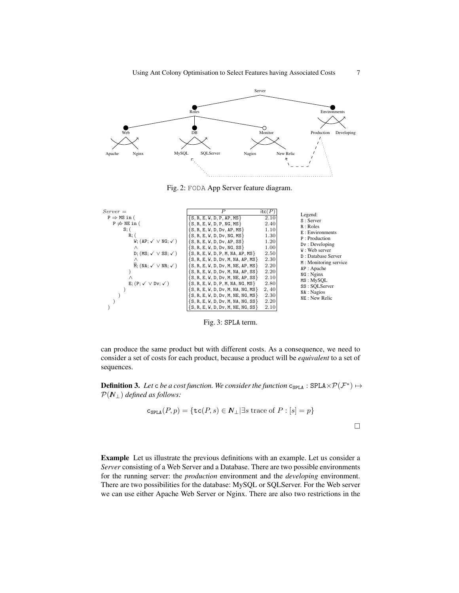

Fig. 2: FODA App Server feature diagram.





can produce the same product but with different costs. As a consequence, we need to consider a set of costs for each product, because a product will be *equivalent* to a set of sequences.

**Definition 3.** Let  $\mathsf{c}$  *be a cost function. We consider the function*  $\mathsf{c}_{\mathsf{SPLA}}$  :  $\mathsf{SPLA} \times \mathcal{P}(\mathcal{F}^*) \mapsto$ P(*IN*⊥) *defined as follows:*

$$
\mathsf{c}_{\mathsf{SPLA}}(P,p) = \{ \mathsf{tc}(P,s) \in \mathbf{N}_{\perp} | \exists s \text{ trace of } P : [s] = p \}
$$

Example Let us illustrate the previous definitions with an example. Let us consider a *Server* consisting of a Web Server and a Database. There are two possible environments for the running server: the *production* environment and the *developing* environment. There are two possibilities for the database: MySQL or SQLServer. For the Web server we can use either Apache Web Server or Nginx. There are also two restrictions in the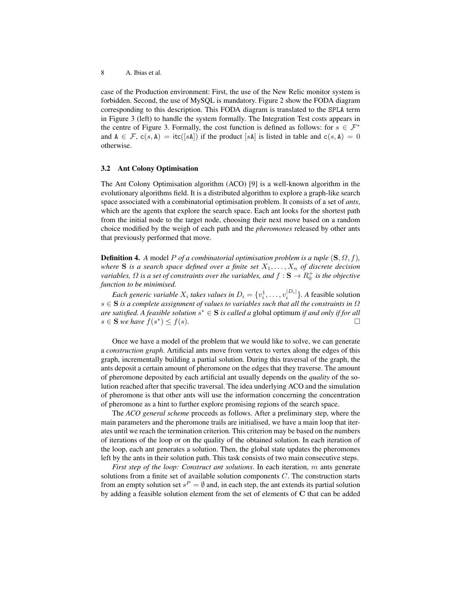case of the Production environment: First, the use of the New Relic monitor system is forbidden. Second, the use of MySQL is mandatory. Figure 2 show the FODA diagram corresponding to this description. This FODA diagram is translated to the SPLA term in Figure 3 (left) to handle the system formally. The Integration Test costs appears in the centre of Figure 3. Formally, the cost function is defined as follows: for  $s \in \mathcal{F}^*$ and  $A \in \mathcal{F}$ ,  $c(s, A) = \text{itc}([sA])$  if the product [sA] is listed in table and  $c(s, A) = 0$ otherwise.

#### 3.2 Ant Colony Optimisation

The Ant Colony Optimisation algorithm (ACO) [9] is a well-known algorithm in the evolutionary algorithms field. It is a distributed algorithm to explore a graph-like search space associated with a combinatorial optimisation problem. It consists of a set of *ants*, which are the agents that explore the search space. Each ant looks for the shortest path from the initial node to the target node, choosing their next move based on a random choice modified by the weigh of each path and the *pheromones* released by other ants that previously performed that move.

**Definition 4.** *A* model *P* of a combinatorial optimisation problem is a tuple  $(S, \Omega, f)$ , *where* **S** is a search space defined over a finite set  $X_1, \ldots, X_n$  of discrete decision *variables,*  $\Omega$  *is a set of constraints over the variables, and*  $f: \mathbf{S} \to R_0^+$  *is the objective function to be minimised.*

*Each generic variable*  $X_i$  *takes values in*  $D_i = \{v_i^1, \ldots, v_i^{|D_i|}\}$ . A feasible solution s ∈ S *is a complete assignment of values to variables such that all the constraints in* Ω *are satisfied. A feasible solution* s <sup>∗</sup> ∈ S *is called a* global optimum *if and only if for all*  $s \in \mathbf{S}$  *we have*  $f(s^*) \leq f(s)$ .

Once we have a model of the problem that we would like to solve, we can generate a *construction graph*. Artificial ants move from vertex to vertex along the edges of this graph, incrementally building a partial solution. During this traversal of the graph, the ants deposit a certain amount of pheromone on the edges that they traverse. The amount of pheromone deposited by each artificial ant usually depends on the *quality* of the solution reached after that specific traversal. The idea underlying ACO and the simulation of pheromone is that other ants will use the information concerning the concentration of pheromone as a hint to further explore promising regions of the search space.

The *ACO general scheme* proceeds as follows. After a preliminary step, where the main parameters and the pheromone trails are initialised, we have a main loop that iterates until we reach the termination criterion. This criterion may be based on the numbers of iterations of the loop or on the quality of the obtained solution. In each iteration of the loop, each ant generates a solution. Then, the global state updates the pheromones left by the ants in their solution path. This task consists of two main consecutive steps.

*First step of the loop: Construct ant solutions.* In each iteration, m ants generate solutions from a finite set of available solution components C. The construction starts from an empty solution set  $s^P = \emptyset$  and, in each step, the ant extends its partial solution by adding a feasible solution element from the set of elements of C that can be added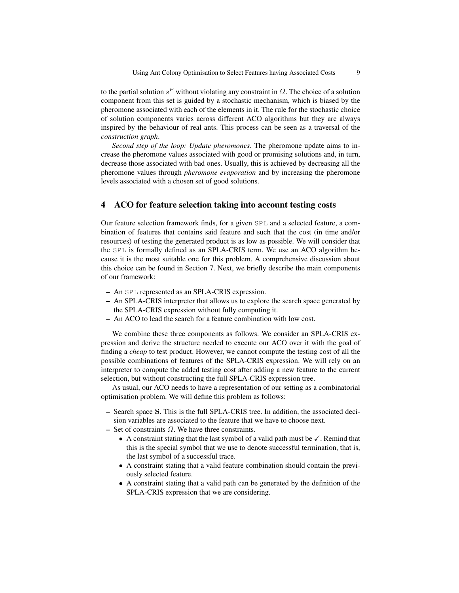to the partial solution  $s^P$  without violating any constraint in  $\Omega$ . The choice of a solution component from this set is guided by a stochastic mechanism, which is biased by the pheromone associated with each of the elements in it. The rule for the stochastic choice of solution components varies across different ACO algorithms but they are always inspired by the behaviour of real ants. This process can be seen as a traversal of the *construction graph*.

*Second step of the loop: Update pheromones*. The pheromone update aims to increase the pheromone values associated with good or promising solutions and, in turn, decrease those associated with bad ones. Usually, this is achieved by decreasing all the pheromone values through *pheromone evaporation* and by increasing the pheromone levels associated with a chosen set of good solutions.

### 4 ACO for feature selection taking into account testing costs

Our feature selection framework finds, for a given SPL and a selected feature, a combination of features that contains said feature and such that the cost (in time and/or resources) of testing the generated product is as low as possible. We will consider that the SPL is formally defined as an SPLA-CRIS term. We use an ACO algorithm because it is the most suitable one for this problem. A comprehensive discussion about this choice can be found in Section 7. Next, we briefly describe the main components of our framework:

- An SPL represented as an SPLA-CRIS expression.
- An SPLA-CRIS interpreter that allows us to explore the search space generated by the SPLA-CRIS expression without fully computing it.
- An ACO to lead the search for a feature combination with low cost.

We combine these three components as follows. We consider an SPLA-CRIS expression and derive the structure needed to execute our ACO over it with the goal of finding a *cheap* to test product. However, we cannot compute the testing cost of all the possible combinations of features of the SPLA-CRIS expression. We will rely on an interpreter to compute the added testing cost after adding a new feature to the current selection, but without constructing the full SPLA-CRIS expression tree.

As usual, our ACO needs to have a representation of our setting as a combinatorial optimisation problem. We will define this problem as follows:

- Search space S. This is the full SPLA-CRIS tree. In addition, the associated decision variables are associated to the feature that we have to choose next.
- Set of constraints  $\Omega$ . We have three constraints.
	- A constraint stating that the last symbol of a valid path must be  $\checkmark$ . Remind that this is the special symbol that we use to denote successful termination, that is, the last symbol of a successful trace.
	- A constraint stating that a valid feature combination should contain the previously selected feature.
	- A constraint stating that a valid path can be generated by the definition of the SPLA-CRIS expression that we are considering.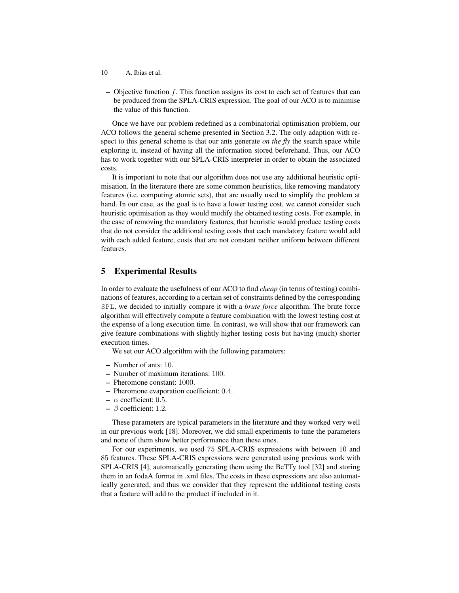- 10 A. Ibias et al.
	- $-$  Objective function  $f$ . This function assigns its cost to each set of features that can be produced from the SPLA-CRIS expression. The goal of our ACO is to minimise the value of this function.

Once we have our problem redefined as a combinatorial optimisation problem, our ACO follows the general scheme presented in Section 3.2. The only adaption with respect to this general scheme is that our ants generate *on the fly* the search space while exploring it, instead of having all the information stored beforehand. Thus, our ACO has to work together with our SPLA-CRIS interpreter in order to obtain the associated costs.

It is important to note that our algorithm does not use any additional heuristic optimisation. In the literature there are some common heuristics, like removing mandatory features (i.e. computing atomic sets), that are usually used to simplify the problem at hand. In our case, as the goal is to have a lower testing cost, we cannot consider such heuristic optimisation as they would modify the obtained testing costs. For example, in the case of removing the mandatory features, that heuristic would produce testing costs that do not consider the additional testing costs that each mandatory feature would add with each added feature, costs that are not constant neither uniform between different features.

### 5 Experimental Results

In order to evaluate the usefulness of our ACO to find *cheap* (in terms of testing) combinations of features, according to a certain set of constraints defined by the corresponding SPL, we decided to initially compare it with a *brute force* algorithm. The brute force algorithm will effectively compute a feature combination with the lowest testing cost at the expense of a long execution time. In contrast, we will show that our framework can give feature combinations with slightly higher testing costs but having (much) shorter execution times.

We set our ACO algorithm with the following parameters:

- Number of ants: 10.
- Number of maximum iterations: 100.
- Pheromone constant: 1000.
- Pheromone evaporation coefficient: 0.4.
- $\alpha$  coefficient: 0.5.
- $\beta$  coefficient: 1.2.

These parameters are typical parameters in the literature and they worked very well in our previous work [18]. Moreover, we did small experiments to tune the parameters and none of them show better performance than these ones.

For our experiments, we used 75 SPLA-CRIS expressions with between 10 and 85 features. These SPLA-CRIS expressions were generated using previous work with SPLA-CRIS [4], automatically generating them using the BeTTy tool [32] and storing them in an fodaA format in .xml files. The costs in these expressions are also automatically generated, and thus we consider that they represent the additional testing costs that a feature will add to the product if included in it.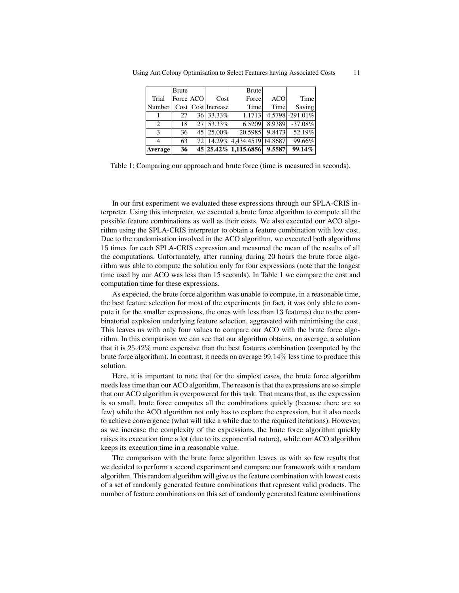| <b>Average</b> | 36        |                        | 45 25.42% 1,115.6856 9.5587  |            | 99.14%            |
|----------------|-----------|------------------------|------------------------------|------------|-------------------|
| 4              | 63        |                        | 72 14.29% 4,434.4519 14.8687 |            | 99.66%            |
| 3              | 36        | 45 25.00%              | 20.5985                      | 9.8473     | 52.19%            |
| 2              | 18        | 27 53.33%              | 6.5209                       | 8.9389     | $-37.08\%$        |
|                | 27        | 36 33.33%              | 1.1713                       |            | $4.5798$ -291.01% |
| Number         |           | Cost   Cost   Increase | Time                         | Time       | Saving            |
| Trial          | Force ACO | Cost <sub>1</sub>      | Force                        | <b>ACO</b> | Time              |
|                | Brute     |                        | <b>Brute</b>                 |            |                   |

Table 1: Comparing our approach and brute force (time is measured in seconds).

In our first experiment we evaluated these expressions through our SPLA-CRIS interpreter. Using this interpreter, we executed a brute force algorithm to compute all the possible feature combinations as well as their costs. We also executed our ACO algorithm using the SPLA-CRIS interpreter to obtain a feature combination with low cost. Due to the randomisation involved in the ACO algorithm, we executed both algorithms 15 times for each SPLA-CRIS expression and measured the mean of the results of all the computations. Unfortunately, after running during 20 hours the brute force algorithm was able to compute the solution only for four expressions (note that the longest time used by our ACO was less than 15 seconds). In Table 1 we compare the cost and computation time for these expressions.

As expected, the brute force algorithm was unable to compute, in a reasonable time, the best feature selection for most of the experiments (in fact, it was only able to compute it for the smaller expressions, the ones with less than 13 features) due to the combinatorial explosion underlying feature selection, aggravated with minimising the cost. This leaves us with only four values to compare our ACO with the brute force algorithm. In this comparison we can see that our algorithm obtains, on average, a solution that it is 25.42% more expensive than the best features combination (computed by the brute force algorithm). In contrast, it needs on average 99.14% less time to produce this solution.

Here, it is important to note that for the simplest cases, the brute force algorithm needs less time than our ACO algorithm. The reason is that the expressions are so simple that our ACO algorithm is overpowered for this task. That means that, as the expression is so small, brute force computes all the combinations quickly (because there are so few) while the ACO algorithm not only has to explore the expression, but it also needs to achieve convergence (what will take a while due to the required iterations). However, as we increase the complexity of the expressions, the brute force algorithm quickly raises its execution time a lot (due to its exponential nature), while our ACO algorithm keeps its execution time in a reasonable value.

The comparison with the brute force algorithm leaves us with so few results that we decided to perform a second experiment and compare our framework with a random algorithm. This random algorithm will give us the feature combination with lowest costs of a set of randomly generated feature combinations that represent valid products. The number of feature combinations on this set of randomly generated feature combinations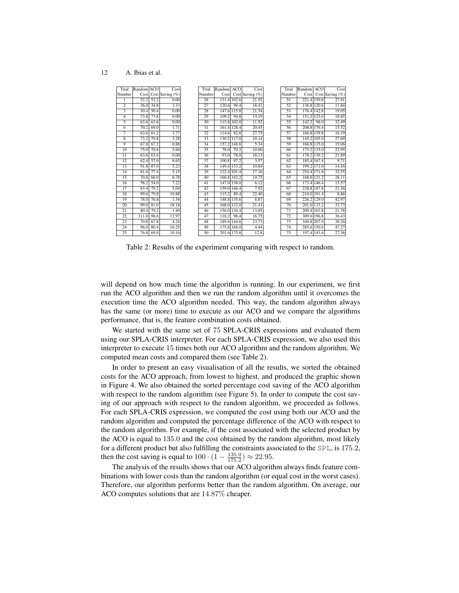| Trial                   | Random ACO |           | Cost                 | Trial           | Random ACO  |             | Cost                                    | Trial           | Random ACO |               | Cost                    |
|-------------------------|------------|-----------|----------------------|-----------------|-------------|-------------|-----------------------------------------|-----------------|------------|---------------|-------------------------|
| Number                  |            |           | Cost Cost Saving (%) | Number          |             |             | Cost $\vert$ Cost $\vert$ Saving $(\%)$ | Number          |            |               | Cost Cost Saving $(\%)$ |
| 1                       | 52.2       | 52.2      | 0.00                 | 26              |             | 131.4 102.6 | 21.92                                   | 51              |            | 221.4 159.6   | 27.91                   |
| $\overline{2}$          | 36.0       | 34.8      | 3.33                 | 27              | 120.6       | 98.4        | 18.41                                   | 52              |            | 136.8 120.6   | 11.84                   |
| $\overline{\mathbf{3}}$ | 50.4       | 50.4      | 0.00                 | 28              |             | 147.6 115.8 | 21.54                                   | 53              |            | 176.4 142.8   | 19.05                   |
| $\overline{\mathbf{4}}$ | 73.8       | 73.8      | 0.00                 | 29              | 109.2       | 94.8        | 13.19                                   | 54              |            | $151.2$ 123.0 | 18.65                   |
| 5                       | 63.6       | 63.6      | 0.00                 | 30              | 115.8 102.0 |             | 11.92                                   | 55              | 142.2      | 96.0          | 32.49                   |
| 6                       | 70.2       | 69.0      | 1.71                 | 31              |             | 161.4 128.4 | 20.45                                   | 56              |            | 208.8 176.4   | 15.52                   |
| $\overline{7}$          | 63.6       | 61.2      | 3.77                 | $\overline{32}$ | 114.6       | 82.8        | 27.75                                   | 57              |            | 166.8 139.8   | 16.19                   |
| $\overline{8}$          | 73.2       | 70.8      | 3.28                 | $\overline{33}$ |             | 130.2 117.0 | 10.14                                   | 58              |            | 145.2 105.0   | 27.69                   |
| $\overline{9}$          | 67.8       | 67.2      | 0.88                 | 34              | 157.2       | 148.8       | 5.34                                    | 59              |            | 166.8 135.0   | 19.06                   |
| 10                      | 75.0       | 70.8      | 5.60                 | 35              | 78.0        | 70.2        | 10.00                                   | 60              |            | $175.2$ 135.0 | 22.95                   |
| $\overline{11}$         | 63.6       | 63.6      | 0.00                 | $\overline{36}$ | 93.0        | 78.0        | 16.13                                   | 61              |            | 178.2 139.2   | 21.89                   |
| 12                      | 62.4       | 57.0      | 8.65                 | 37              | 100.8       | 97.2        | 3.57                                    | 62              |            | 185.4 167.4   | 9.71                    |
| 13                      | 91.8       | 87.0      | 5.23                 | 38              |             | 149.4 133.2 | 10.84                                   | 63              |            | 199.2 171.0   | 14.16                   |
| 14                      | 81.6       | 77.4      | 5.15                 | 39              |             | 122.4 101.4 | 17.16                                   | 64              |            | 254.4 171.6   | 32.55                   |
| 15                      | 70.8       | 66.0      | 6.78                 | 40              |             | 166.8 142.2 | 14.75                                   | 65              |            | 168.6 121.2   | 28.11                   |
| 16                      | 58.2       | 54.0      | 7.22                 | 41              |             | 147.0 138.0 | 6.12                                    | 66              |            | 173.4 146.4   | 15.57                   |
| 17                      | 83.4       | 79.2      | 5.04                 | 42              |             | 159.0 146.4 | 7.92                                    | 67              |            | 238.8 187.8   | 21.36                   |
| 18                      | 99.6       | 79.8      | 19.88                | 43              | 115.2       | 89.4        | 22.40                                   | 68              |            | 210.0 191.4   | 8.86                    |
| 19                      | 78.0       | 76.8      | 1.54                 | 44              |             | 148.8 135.6 | 8.87                                    | 69              |            | 226.2 129.0   | 42.97                   |
| 20                      | 99.0       | 81.0      | 18.18                | 45              |             | 168.0 132.0 | 21.43                                   | 70              |            | 201.0 133.2   | 33.73                   |
| $\overline{21}$         | 80.4       | 79.2      | 1.49                 | 46              |             | 156.0 134.4 | 13.85                                   | $\overline{71}$ |            | 209.4 163.8   | 21.78                   |
| 22                      | 111.0      | 96.6      | 12.97                | 47              | 118.2       | 98.4        | 16.75                                   | 72              |            | 309.6 196.8   | 36.43                   |
| 23                      | 70.8       | 67.8      | 4.24                 | 48              |             | 189.6 144.6 | 23.73                                   | 73              |            | 340.8 207.0   | 39.26                   |
| 24                      | 96.0       | 80.4      | 16.25                | 49              |             | 175.8 168.0 | 4.44                                    | 74              |            | 285.6 150.6   | 47.27                   |
| 25                      |            | 76.8 69.0 | 10.16                | 50              | 201.6 175.8 |             | 12.8                                    | 75              |            | 197.4 143.4   | 27.36                   |

Table 2: Results of the experiment comparing with respect to random.

will depend on how much time the algorithm is running. In our experiment, we first run the ACO algorithm and then we run the random algorithm until it overcomes the execution time the ACO algorithm needed. This way, the random algorithm always has the same (or more) time to execute as our ACO and we compare the algorithms performance, that is, the feature combination costs obtained.

We started with the same set of 75 SPLA-CRIS expressions and evaluated them using our SPLA-CRIS interpreter. For each SPLA-CRIS expression, we also used this interpreter to execute 15 times both our ACO algorithm and the random algorithm. We computed mean costs and compared them (see Table 2).

In order to present an easy visualisation of all the results, we sorted the obtained costs for the ACO approach, from lowest to highest, and produced the graphic shown in Figure 4. We also obtained the sorted percentage cost saving of the ACO algorithm with respect to the random algorithm (see Figure 5). In order to compute the cost saving of our approach with respect to the random algorithm, we proceeded as follows. For each SPLA-CRIS expression, we computed the cost using both our ACO and the random algorithm and computed the percentage difference of the ACO with respect to the random algorithm. For example, if the cost associated with the selected product by the ACO is equal to 135.0 and the cost obtained by the random algorithm, most likely for a different product but also fulfilling the constraints associated to the SPL, is 175.2, then the cost saving is equal to  $100 \cdot (1 - \frac{135.0}{175.2}) \approx 22.95$ .

The analysis of the results shows that our ACO algorithm always finds feature combinations with lower costs than the random algorithm (or equal cost in the worst cases). Therefore, our algorithm performs better than the random algorithm. On average, our ACO computes solutions that are 14.87% cheaper.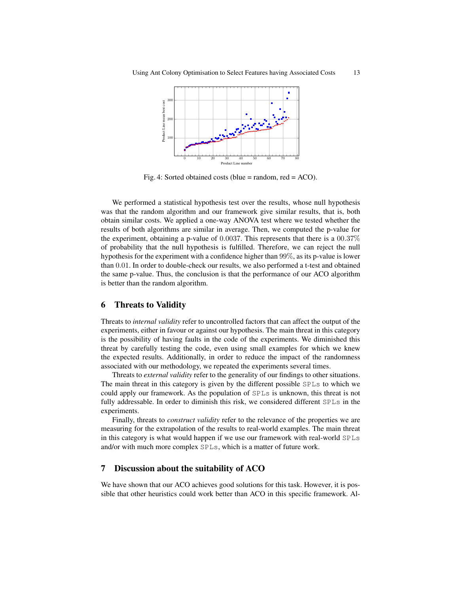

Fig. 4: Sorted obtained costs (blue = random, red = ACO).

We performed a statistical hypothesis test over the results, whose null hypothesis was that the random algorithm and our framework give similar results, that is, both obtain similar costs. We applied a one-way ANOVA test where we tested whether the results of both algorithms are similar in average. Then, we computed the p-value for the experiment, obtaining a p-value of 0.0037. This represents that there is a 00.37% of probability that the null hypothesis is fulfilled. Therefore, we can reject the null hypothesis for the experiment with a confidence higher than 99%, as its p-value is lower than 0.01. In order to double-check our results, we also performed a t-test and obtained the same p-value. Thus, the conclusion is that the performance of our ACO algorithm is better than the random algorithm.

### 6 Threats to Validity

Threats to *internal validity* refer to uncontrolled factors that can affect the output of the experiments, either in favour or against our hypothesis. The main threat in this category is the possibility of having faults in the code of the experiments. We diminished this threat by carefully testing the code, even using small examples for which we knew the expected results. Additionally, in order to reduce the impact of the randomness associated with our methodology, we repeated the experiments several times.

Threats to *external validity* refer to the generality of our findings to other situations. The main threat in this category is given by the different possible SPLs to which we could apply our framework. As the population of SPLs is unknown, this threat is not fully addressable. In order to diminish this risk, we considered different SPLs in the experiments.

Finally, threats to *construct validity* refer to the relevance of the properties we are measuring for the extrapolation of the results to real-world examples. The main threat in this category is what would happen if we use our framework with real-world SPLs and/or with much more complex SPLs, which is a matter of future work.

### 7 Discussion about the suitability of ACO

We have shown that our ACO achieves good solutions for this task. However, it is possible that other heuristics could work better than ACO in this specific framework. Al-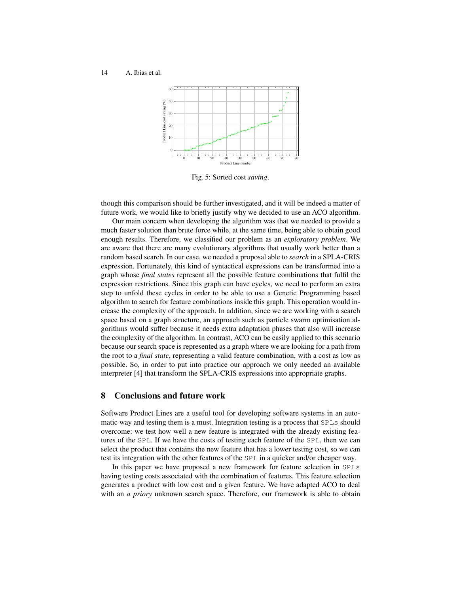

Fig. 5: Sorted cost *saving*.

though this comparison should be further investigated, and it will be indeed a matter of future work, we would like to briefly justify why we decided to use an ACO algorithm.

Our main concern when developing the algorithm was that we needed to provide a much faster solution than brute force while, at the same time, being able to obtain good enough results. Therefore, we classified our problem as an *exploratory problem*. We are aware that there are many evolutionary algorithms that usually work better than a random based search. In our case, we needed a proposal able to *search* in a SPLA-CRIS expression. Fortunately, this kind of syntactical expressions can be transformed into a graph whose *final states* represent all the possible feature combinations that fulfil the expression restrictions. Since this graph can have cycles, we need to perform an extra step to unfold these cycles in order to be able to use a Genetic Programming based algorithm to search for feature combinations inside this graph. This operation would increase the complexity of the approach. In addition, since we are working with a search space based on a graph structure, an approach such as particle swarm optimisation algorithms would suffer because it needs extra adaptation phases that also will increase the complexity of the algorithm. In contrast, ACO can be easily applied to this scenario because our search space is represented as a graph where we are looking for a path from the root to a *final state*, representing a valid feature combination, with a cost as low as possible. So, in order to put into practice our approach we only needed an available interpreter [4] that transform the SPLA-CRIS expressions into appropriate graphs.

### 8 Conclusions and future work

Software Product Lines are a useful tool for developing software systems in an automatic way and testing them is a must. Integration testing is a process that SPLs should overcome: we test how well a new feature is integrated with the already existing features of the SPL. If we have the costs of testing each feature of the SPL, then we can select the product that contains the new feature that has a lower testing cost, so we can test its integration with the other features of the SPL in a quicker and/or cheaper way.

In this paper we have proposed a new framework for feature selection in SPLs having testing costs associated with the combination of features. This feature selection generates a product with low cost and a given feature. We have adapted ACO to deal with an *a priory* unknown search space. Therefore, our framework is able to obtain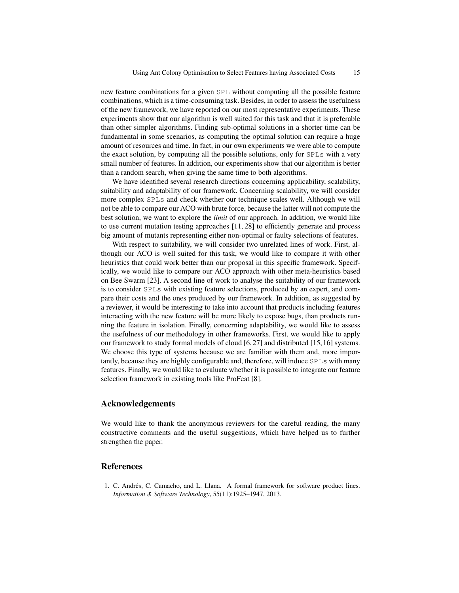new feature combinations for a given SPL without computing all the possible feature combinations, which is a time-consuming task. Besides, in order to assess the usefulness of the new framework, we have reported on our most representative experiments. These experiments show that our algorithm is well suited for this task and that it is preferable than other simpler algorithms. Finding sub-optimal solutions in a shorter time can be fundamental in some scenarios, as computing the optimal solution can require a huge amount of resources and time. In fact, in our own experiments we were able to compute the exact solution, by computing all the possible solutions, only for SPLs with a very small number of features. In addition, our experiments show that our algorithm is better than a random search, when giving the same time to both algorithms.

We have identified several research directions concerning applicability, scalability, suitability and adaptability of our framework. Concerning scalability, we will consider more complex SPLs and check whether our technique scales well. Although we will not be able to compare our ACO with brute force, because the latter will not compute the best solution, we want to explore the *limit* of our approach. In addition, we would like to use current mutation testing approaches [11, 28] to efficiently generate and process big amount of mutants representing either non-optimal or faulty selections of features.

With respect to suitability, we will consider two unrelated lines of work. First, although our ACO is well suited for this task, we would like to compare it with other heuristics that could work better than our proposal in this specific framework. Specifically, we would like to compare our ACO approach with other meta-heuristics based on Bee Swarm [23]. A second line of work to analyse the suitability of our framework is to consider SPLs with existing feature selections, produced by an expert, and compare their costs and the ones produced by our framework. In addition, as suggested by a reviewer, it would be interesting to take into account that products including features interacting with the new feature will be more likely to expose bugs, than products running the feature in isolation. Finally, concerning adaptability, we would like to assess the usefulness of our methodology in other frameworks. First, we would like to apply our framework to study formal models of cloud [6, 27] and distributed [15, 16] systems. We choose this type of systems because we are familiar with them and, more importantly, because they are highly configurable and, therefore, will induce SPLs with many features. Finally, we would like to evaluate whether it is possible to integrate our feature selection framework in existing tools like ProFeat [8].

### Acknowledgements

We would like to thank the anonymous reviewers for the careful reading, the many constructive comments and the useful suggestions, which have helped us to further strengthen the paper.

### References

1. C. Andres, C. Camacho, and L. Llana. A formal framework for software product lines. ´ *Information & Software Technology*, 55(11):1925–1947, 2013.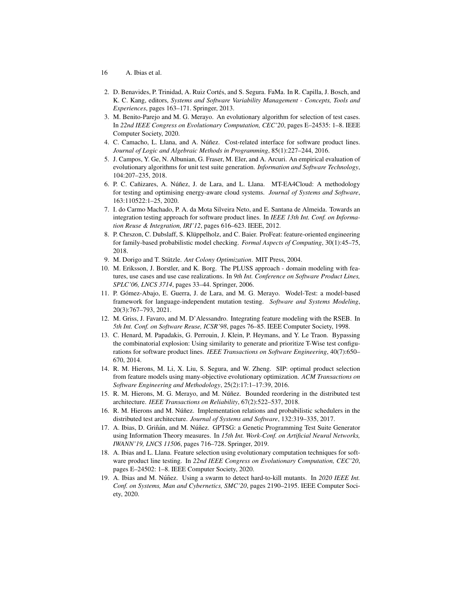- 16 A. Ibias et al.
- 2. D. Benavides, P. Trinidad, A. Ruiz Cortes, and S. Segura. FaMa. In R. Capilla, J. Bosch, and ´ K. C. Kang, editors, *Systems and Software Variability Management - Concepts, Tools and Experiences*, pages 163–171. Springer, 2013.
- 3. M. Benito-Parejo and M. G. Merayo. An evolutionary algorithm for selection of test cases. In *22nd IEEE Congress on Evolutionary Computation, CEC'20*, pages E–24535: 1–8. IEEE Computer Society, 2020.
- 4. C. Camacho, L. Llana, and A. Núñez. Cost-related interface for software product lines. *Journal of Logic and Algebraic Methods in Programming*, 85(1):227–244, 2016.
- 5. J. Campos, Y. Ge, N. Albunian, G. Fraser, M. Eler, and A. Arcuri. An empirical evaluation of evolutionary algorithms for unit test suite generation. *Information and Software Technology*, 104:207–235, 2018.
- 6. P. C. Cañizares, A. Núñez, J. de Lara, and L. Llana. MT-EA4Cloud: A methodology for testing and optimising energy-aware cloud systems. *Journal of Systems and Software*, 163:110522:1–25, 2020.
- 7. I. do Carmo Machado, P. A. da Mota Silveira Neto, and E. Santana de Almeida. Towards an integration testing approach for software product lines. In *IEEE 13th Int. Conf. on Information Reuse & Integration, IRI'12*, pages 616–623. IEEE, 2012.
- 8. P. Chrszon, C. Dubslaff, S. Klüppelholz, and C. Baier. ProFeat: feature-oriented engineering for family-based probabilistic model checking. *Formal Aspects of Computing*, 30(1):45–75, 2018.
- 9. M. Dorigo and T. Stützle. Ant Colony Optimization. MIT Press, 2004.
- 10. M. Eriksson, J. Borstler, and K. Borg. The PLUSS approach domain modeling with features, use cases and use case realizations. In *9th Int. Conference on Software Product Lines, SPLC'06, LNCS 3714*, pages 33–44. Springer, 2006.
- 11. P. Gomez-Abajo, E. Guerra, J. de Lara, and M. G. Merayo. Wodel-Test: a model-based ´ framework for language-independent mutation testing. *Software and Systems Modeling*, 20(3):767–793, 2021.
- 12. M. Griss, J. Favaro, and M. D'Alessandro. Integrating feature modeling with the RSEB. In *5th Int. Conf. on Software Reuse, ICSR'98*, pages 76–85. IEEE Computer Society, 1998.
- 13. C. Henard, M. Papadakis, G. Perrouin, J. Klein, P. Heymans, and Y. Le Traon. Bypassing the combinatorial explosion: Using similarity to generate and prioritize T-Wise test configurations for software product lines. *IEEE Transactions on Software Engineering*, 40(7):650– 670, 2014.
- 14. R. M. Hierons, M. Li, X. Liu, S. Segura, and W. Zheng. SIP: optimal product selection from feature models using many-objective evolutionary optimization. *ACM Transactions on Software Engineering and Methodology*, 25(2):17:1–17:39, 2016.
- 15. R. M. Hierons, M. G. Merayo, and M. Núñez. Bounded reordering in the distributed test architecture. *IEEE Transactions on Reliability*, 67(2):522–537, 2018.
- 16. R. M. Hierons and M. Núñez. Implementation relations and probabilistic schedulers in the distributed test architecture. *Journal of Systems and Software*, 132:319–335, 2017.
- 17. A. Ibias, D. Griñán, and M. Núñez. GPTSG: a Genetic Programming Test Suite Generator using Information Theory measures. In *15th Int. Work-Conf. on Artificial Neural Networks, IWANN'19, LNCS 11506*, pages 716–728. Springer, 2019.
- 18. A. Ibias and L. Llana. Feature selection using evolutionary computation techniques for software product line testing. In *22nd IEEE Congress on Evolutionary Computation, CEC'20*, pages E–24502: 1–8. IEEE Computer Society, 2020.
- 19. A. Ibias and M. Núñez. Using a swarm to detect hard-to-kill mutants. In 2020 IEEE Int. *Conf. on Systems, Man and Cybernetics, SMC'20*, pages 2190–2195. IEEE Computer Society, 2020.